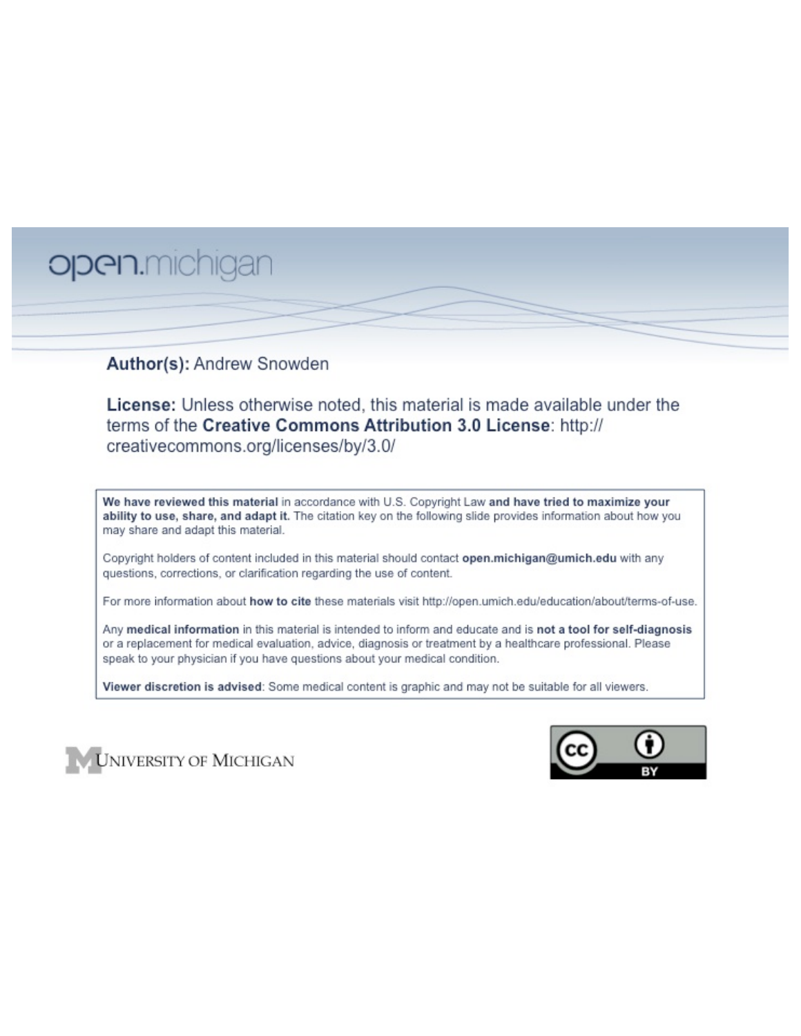# open.michigan

## Author(s): Andrew Snowden

License: Unless otherwise noted, this material is made available under the terms of the Creative Commons Attribution 3.0 License: http:// creativecommons.org/licenses/by/3.0/

We have reviewed this material in accordance with U.S. Copyright Law and have tried to maximize your ability to use, share, and adapt it. The citation key on the following slide provides information about how you may share and adapt this material.

Copyright holders of content included in this material should contact open.michigan@umich.edu with any questions, corrections, or clarification regarding the use of content.

For more information about how to cite these materials visit http://open.umich.edu/education/about/terms-of-use.

Any medical information in this material is intended to inform and educate and is not a tool for self-diagnosis or a replacement for medical evaluation, advice, diagnosis or treatment by a healthcare professional. Please speak to your physician if you have questions about your medical condition.

Viewer discretion is advised: Some medical content is graphic and may not be suitable for all viewers.



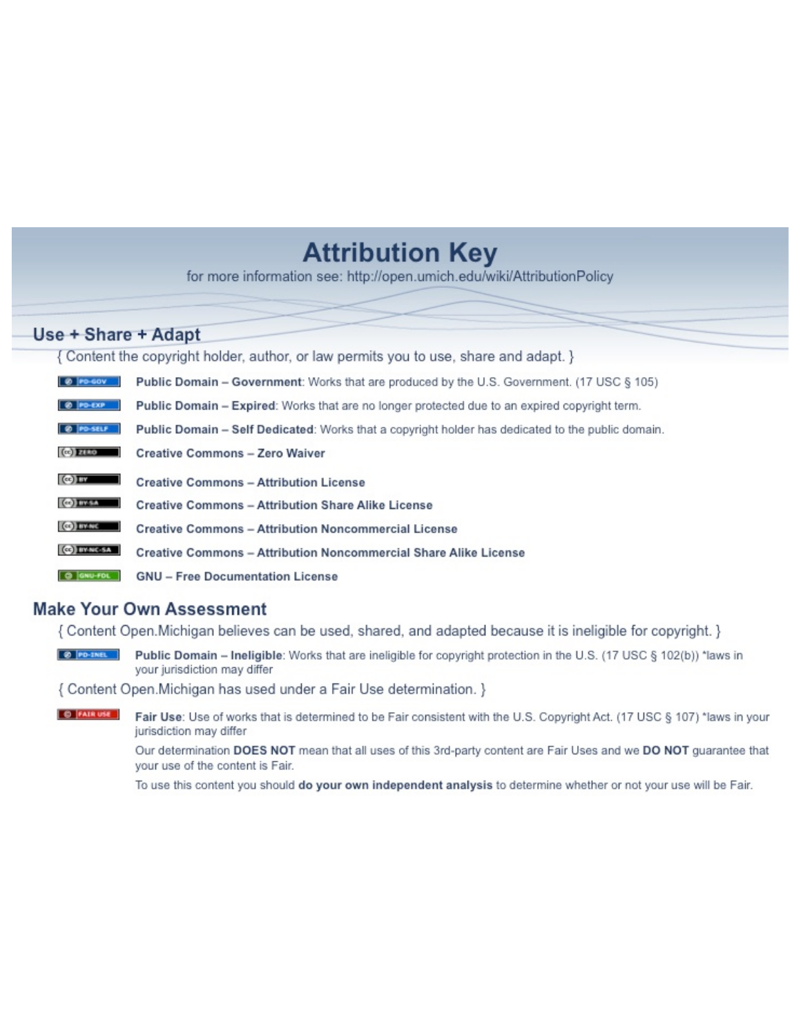## **Attribution Key**

for more information see: http://open.umich.edu/wiki/AttributionPolicy

## Use + Share + Adapt

{ Content the copyright holder, author, or law permits you to use, share and adapt. }

| @ PD-GOV                  | <b>Public Domain - Government:</b> Works that are produced by the U.S. Government. (17 USC § 105) |
|---------------------------|---------------------------------------------------------------------------------------------------|
| @ PD-EXP                  | Public Domain - Expired: Works that are no longer protected due to an expired copyright term.     |
| @ PO-SELF                 | Public Domain - Self Dedicated: Works that a copyright holder has dedicated to the public domain. |
| $(c2)$ 21110              | <b>Creative Commons - Zero Waiver</b>                                                             |
| $\left($ ce) $\right)$ my | <b>Creative Commons - Attribution License</b>                                                     |
| <b>CO</b> ITY-SA          | <b>Creative Commons - Attribution Share Alike License</b>                                         |
| <b>CO</b> BY-NC           | <b>Creative Commons - Attribution Noncommercial License</b>                                       |
| <b>CO</b> BY-NC-SA        | Creative Commons - Attribution Noncommercial Share Alike License                                  |
| GNU-FOL                   | <b>GNU - Free Documentation License</b>                                                           |

## **Make Your Own Assessment**

{ Content Open. Michigan believes can be used, shared, and adapted because it is ineligible for copyright. }

Public Domain - Ineligible: Works that are ineligible for copyright protection in the U.S. (17 USC § 102(b)) \*laws in your jurisdiction may differ

{ Content Open. Michigan has used under a Fair Use determination. }

**O** FAIR USE Fair Use: Use of works that is determined to be Fair consistent with the U.S. Copyright Act. (17 USC § 107) \*laws in your jurisdiction may differ

> Our determination DOES NOT mean that all uses of this 3rd-party content are Fair Uses and we DO NOT guarantee that your use of the content is Fair.

To use this content you should do your own independent analysis to determine whether or not your use will be Fair.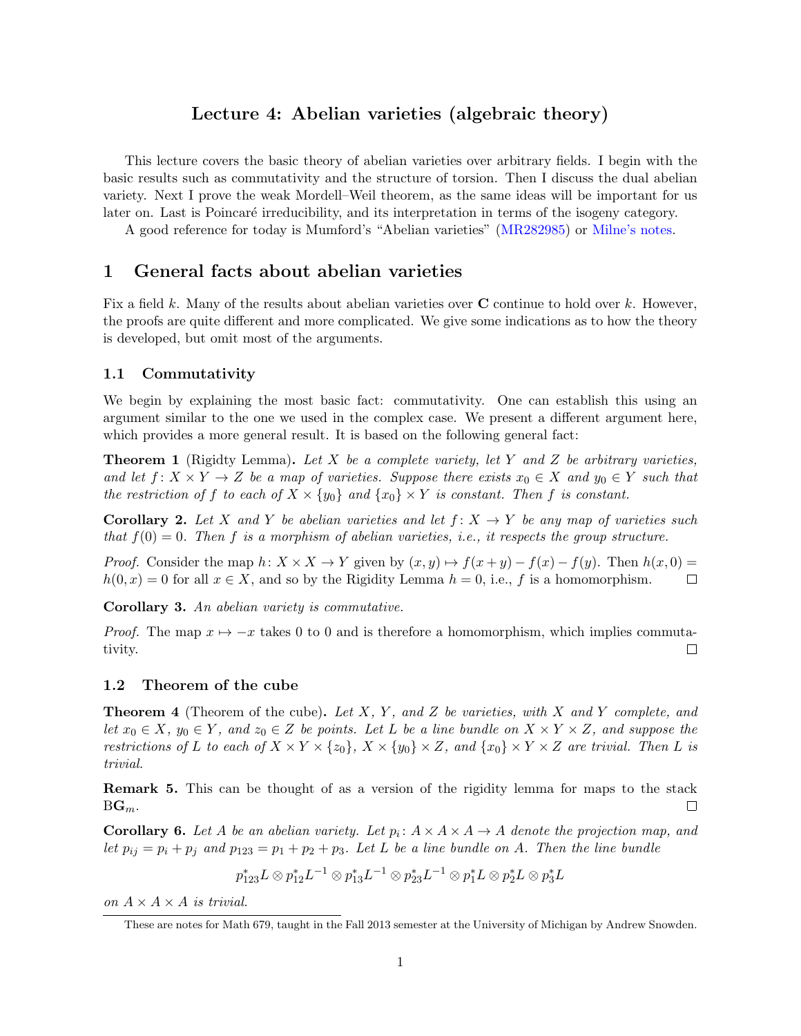## Lecture 4: Abelian varieties (algebraic theory)

This lecture covers the basic theory of abelian varieties over arbitrary fields. I begin with the basic results such as commutativity and the structure of torsion. Then I discuss the dual abelian variety. Next I prove the weak Mordell–Weil theorem, as the same ideas will be important for us later on. Last is Poincaré irreducibility, and its interpretation in terms of the isogeny category.

A good reference for today is Mumford's "Abelian varieties" (MR282985) or Milne's notes.

#### 1 General facts about abelian varieties

Fix a field *k*. Many of the results about abelian varieties over C continue to hold over *k*. However, the proofs are quite different and more complicated. We give some indications as to how the theory is developed, but omit most of the arguments.

#### 1.1 Commutativity

We begin by explaining the most basic fact: commutativity. One can establish this using an argument similar to the one we used in the complex case. We present a different argument here, which provides a more general result. It is based on the following general fact:

Theorem 1 (Rigidty Lemma). *Let X be a complete variety, let Y and Z be arbitrary varieties, and let*  $f: X \times Y \to Z$  *be a map of varieties. Suppose there exists*  $x_0 \in X$  *and*  $y_0 \in Y$  *such that the restriction of f to each of*  $X \times \{y_0\}$  *and*  $\{x_0\} \times Y$  *is constant.* Then *f is constant.* 

**Corollary 2.** Let *X* and *Y* be abelian varieties and let  $f: X \rightarrow Y$  be any map of varieties such *that f*(0) = 0*. Then f is a morphism of abelian varieties, i.e., it respects the group structure.*

*Proof.* Consider the map  $h: X \times X \to Y$  given by  $(x, y) \mapsto f(x + y) - f(x) - f(y)$ . Then  $h(x, 0) = h(0, x) = 0$  for all  $x \in X$ , and so by the Rigidity Lemma  $h = 0$ , i.e., f is a homomorphism.  $h(0, x) = 0$  for all  $x \in X$ , and so by the Rigidity Lemma  $h = 0$ , i.e., f is a homomorphism.

Corollary 3. *An abelian variety is commutative.*

*Proof.* The map  $x \mapsto -x$  takes 0 to 0 and is therefore a homomorphism, which implies commutativity. tivity.

#### 1.2 Theorem of the cube

Theorem 4 (Theorem of the cube). *Let X, Y , and Z be varieties, with X and Y complete, and let*  $x_0 \in X$ ,  $y_0 \in Y$ , and  $z_0 \in Z$  *be points. Let L be a line bundle on*  $X \times Y \times Z$ , and suppose the restrictions of L to each of  $X \times Y \times \{z_0\}$ ,  $X \times \{y_0\} \times Z$ , and  $\{x_0\} \times Y \times Z$  are trivial. Then L is *trivial.*

Remark 5. This can be thought of as a version of the rigidity lemma for maps to the stack  $BG_m$ .  $\Box$ 

**Corollary 6.** Let A be an abelian variety. Let  $p_i: A \times A \times A \rightarrow A$  denote the projection map, and *let*  $p_{ij} = p_i + p_j$  *and*  $p_{123} = p_1 + p_2 + p_3$ *. Let L be a line bundle on A. Then the line bundle* 

$$
p_{123}^* L \otimes p_{12}^* L^{-1} \otimes p_{13}^* L^{-1} \otimes p_{23}^* L^{-1} \otimes p_1^* L \otimes p_2^* L \otimes p_3^* L
$$

*on*  $A \times A \times A$  *is trivial.* 

These are notes for Math 679, taught in the Fall 2013 semester at the University of Michigan by Andrew Snowden.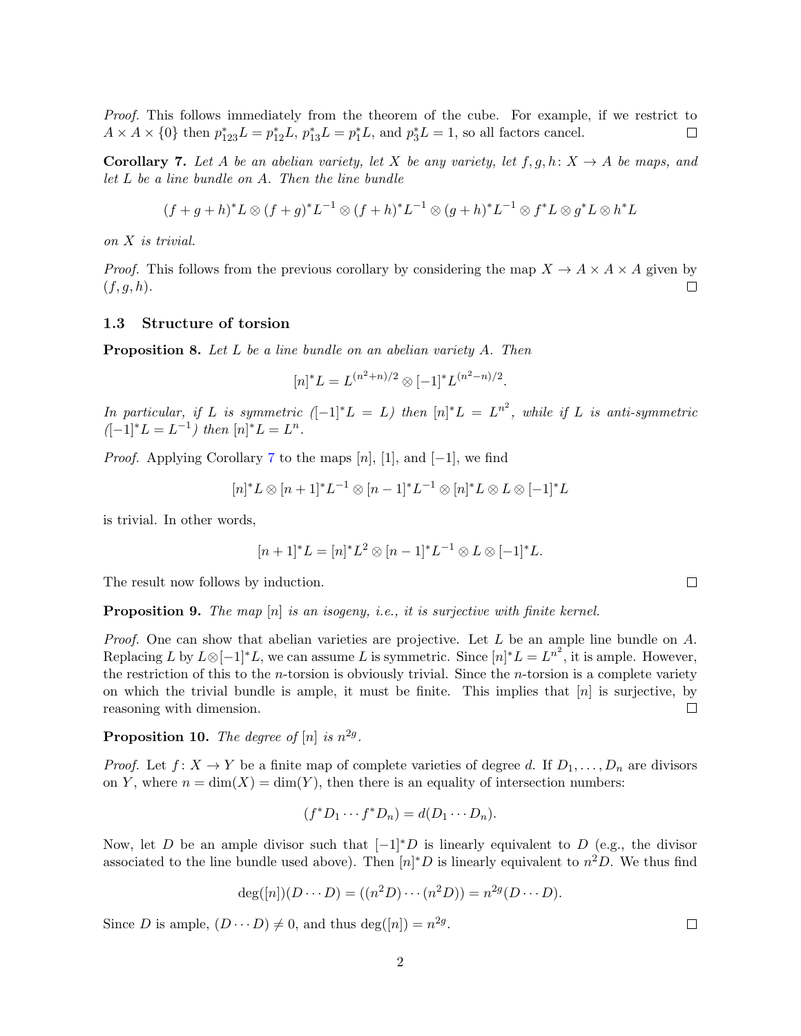*Proof.* This follows immediately from the theorem of the cube. For example, if we restrict to  $\Box$  $A \times A \times \{0\}$  then  $p_{123}^*L = p_{12}^*L$ ,  $p_{13}^*L = p_1^*L$ , and  $p_3^*L = 1$ , so all factors cancel.

**Corollary 7.** Let A be an abelian variety, let X be any variety, let  $f, g, h: X \rightarrow A$  be maps, and *let L be a line bundle on A. Then the line bundle*

$$
(f+g+h)^*L \otimes (f+g)^*L^{-1} \otimes (f+h)^*L^{-1} \otimes (g+h)^*L^{-1} \otimes f^*L \otimes g^*L \otimes h^*L
$$

*on X is trivial.*

*Proof.* This follows from the previous corollary by considering the map  $X \to A \times A \times A$  given by  $(f, q, h)$ . (*f, g, h*).

#### 1.3 Structure of torsion

Proposition 8. *Let L be a line bundle on an abelian variety A. Then*

$$
[n]^*L = L^{(n^2+n)/2} \otimes [-1]^* L^{(n^2-n)/2}.
$$

 $In particular, if L is symmetric  $([-1]^*L = L)$  then  $[n]^*L = L^{n^2}$ , while if L is anti-symmetric$  $([-1]^*L = L^{-1})$  then  $[n]^*L = L^n$ .

*Proof.* Applying Corollary 7 to the maps  $[n]$ ,  $[1]$ , and  $[-1]$ , we find

$$
[n]^*L \otimes [n+1]^*L^{-1} \otimes [n-1]^*L^{-1} \otimes [n]^*L \otimes L \otimes [-1]^*L
$$

is trivial. In other words,

$$
[n+1]^*L = [n]^*L^2 \otimes [n-1]^*L^{-1} \otimes L \otimes [-1]^*L.
$$

The result now follows by induction.

Proposition 9. *The map* [*n*] *is an isogeny, i.e., it is surjective with finite kernel.*

*Proof.* One can show that abelian varieties are projective. Let *L* be an ample line bundle on *A*. Replacing *L* by  $L \otimes [-1]^*L$ , we can assume *L* is symmetric. Since  $[n]^*L = L^{n^2}$ , it is ample. However, the restriction of this to the *n*-torsion is obviously trivial. Since the *n*-torsion is a complete variety on which the trivial bundle is ample, it must be finite. This implies that [*n*] is surjective, by reasoning with dimension. П

**Proposition 10.** *The degree of*  $[n]$  *is*  $n^{2g}$ *.* 

*Proof.* Let  $f: X \to Y$  be a finite map of complete varieties of degree *d*. If  $D_1, \ldots, D_n$  are divisors on *Y*, where  $n = \dim(X) = \dim(Y)$ , then there is an equality of intersection numbers:

$$
(f^*D_1\cdots f^*D_n)=d(D_1\cdots D_n).
$$

Now, let *D* be an ample divisor such that  $[-1]^*D$  is linearly equivalent to *D* (e.g., the divisor associated to the line bundle used above). Then  $[n]^*D$  is linearly equivalent to  $n^2D$ . We thus find

$$
deg([n])(D \cdots D) = ((n^2D) \cdots (n^2D)) = n^{2g}(D \cdots D).
$$

Since *D* is ample,  $(D \cdots D) \neq 0$ , and thus deg([*n*]) =  $n^{2g}$ .

2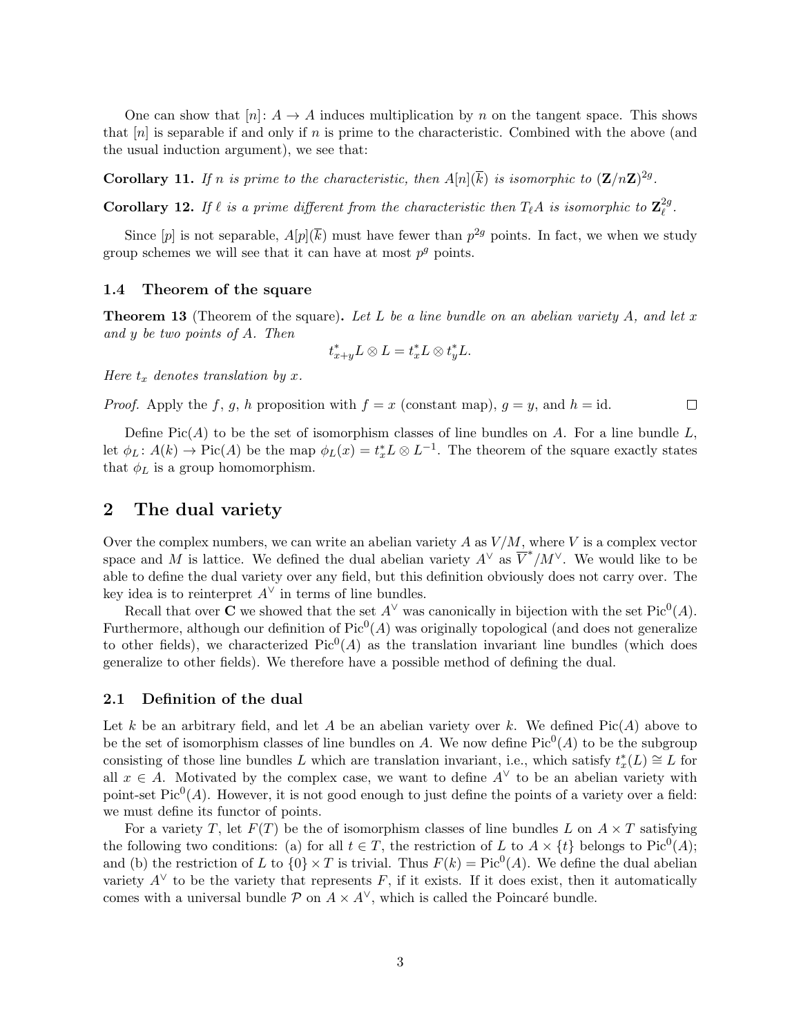One can show that  $[n]: A \to A$  induces multiplication by *n* on the tangent space. This shows that [*n*] is separable if and only if *n* is prime to the characteristic. Combined with the above (and the usual induction argument), we see that:

Corollary 11. If *n* is prime to the characteristic, then  $A[n](\overline{k})$  is isomorphic to  $(\mathbf{Z}/n\mathbf{Z})^{2g}$ .

**Corollary 12.** If  $\ell$  is a prime different from the characteristic then  $T_{\ell}A$  is isomorphic to  $\mathbf{Z}_{\ell}^{2g}$ .

Since  $[p]$  is not separable,  $A[p](\overline{k})$  must have fewer than  $p^{2g}$  points. In fact, we when we study group schemes we will see that it can have at most  $p^g$  points.

#### 1.4 Theorem of the square

Theorem 13 (Theorem of the square). *Let L be a line bundle on an abelian variety A, and let x and y be two points of A. Then*

$$
t_{x+y}^*L \otimes L = t_x^*L \otimes t_y^*L.
$$

*Here*  $t_x$  *denotes translation by*  $x$ *.* 

*Proof.* Apply the *f*, *g*, *h* proposition with  $f = x$  (constant map),  $g = y$ , and  $h = id$ .  $\Box$ 

Define  $Pic(A)$  to be the set of isomorphism classes of line bundles on A. For a line bundle  $L$ , let  $\phi_L$ :  $A(k) \to Pic(A)$  be the map  $\phi_L(x) = t_x^* L \otimes L^{-1}$ . The theorem of the square exactly states that  $\phi_L$  is a group homomorphism.

## 2 The dual variety

Over the complex numbers, we can write an abelian variety  $A$  as  $V/M$ , where  $V$  is a complex vector space and *M* is lattice. We defined the dual abelian variety  $A^{\vee}$  as  $\overline{V}^*/M^{\vee}$ . We would like to be able to define the dual variety over any field, but this definition obviously does not carry over. The key idea is to reinterpret  $A^{\vee}$  in terms of line bundles.

Recall that over **C** we showed that the set  $A^{\vee}$  was canonically in bijection with the set Pic<sup>0</sup>(*A*). Furthermore, although our definition of  $Pic^0(A)$  was originally topological (and does not generalize to other fields), we characterized  $Pic^0(A)$  as the translation invariant line bundles (which does generalize to other fields). We therefore have a possible method of defining the dual.

#### 2.1 Definition of the dual

Let *k* be an arbitrary field, and let *A* be an abelian variety over *k*. We defined  $Pic(A)$  above to be the set of isomorphism classes of line bundles on *A*. We now define  $Pic^0(A)$  to be the subgroup consisting of those line bundles *L* which are translation invariant, i.e., which satisfy  $t^*_x(L) \cong L$  for all  $x \in A$ . Motivated by the complex case, we want to define  $A^{\vee}$  to be an abelian variety with point-set  $Pic^0(A)$ . However, it is not good enough to just define the points of a variety over a field: we must define its functor of points.

For a variety *T*, let  $F(T)$  be the of isomorphism classes of line bundles *L* on  $A \times T$  satisfying the following two conditions: (a) for all  $t \in T$ , the restriction of *L* to  $A \times \{t\}$  belongs to Pic<sup>0</sup>(*A*); and (b) the restriction of *L* to  $\{0\} \times T$  is trivial. Thus  $F(k) = Pic^{0}(A)$ . We define the dual abelian variety  $A^{\vee}$  to be the variety that represents *F*, if it exists. If it does exist, then it automatically comes with a universal bundle  $P$  on  $A \times A^{\vee}$ , which is called the Poincaré bundle.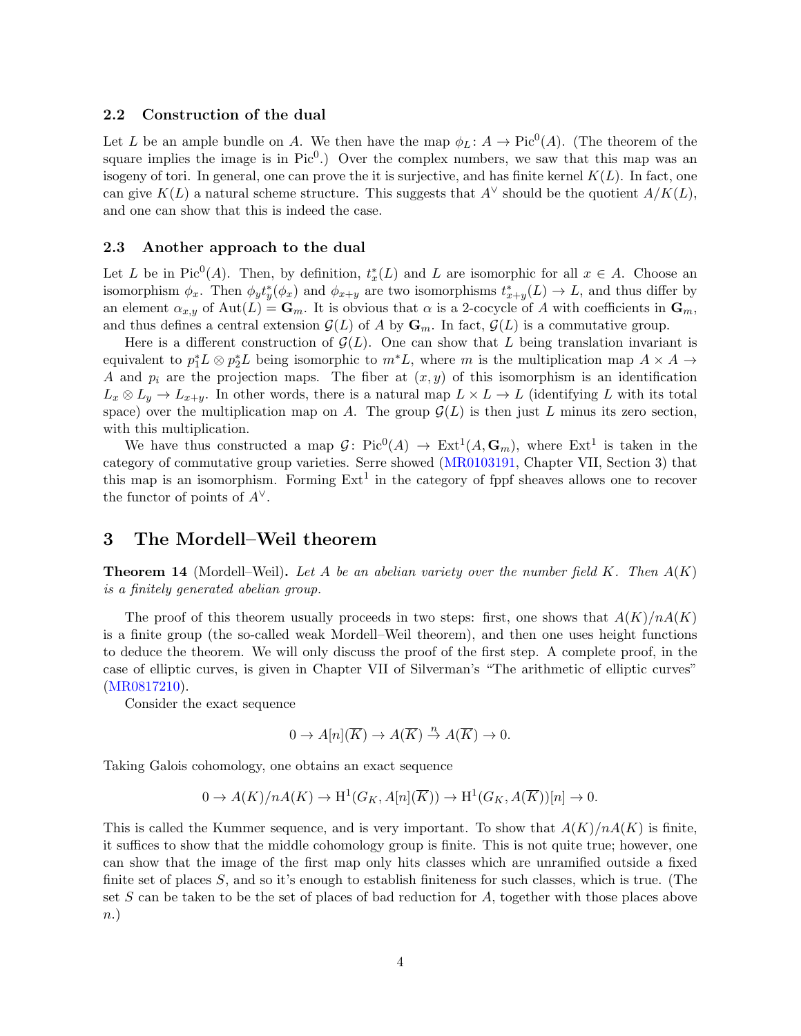#### 2.2 Construction of the dual

Let *L* be an ample bundle on *A*. We then have the map  $\phi_L : A \to Pic^0(A)$ . (The theorem of the square implies the image is in  $Pic^0$ .) Over the complex numbers, we saw that this map was an isogeny of tori. In general, one can prove the it is surjective, and has finite kernel  $K(L)$ . In fact, one can give  $K(L)$  a natural scheme structure. This suggests that  $A^{\vee}$  should be the quotient  $A/K(L)$ , and one can show that this is indeed the case.

#### 2.3 Another approach to the dual

Let *L* be in Pic<sup>0</sup>(*A*). Then, by definition,  $t_x^*(L)$  and *L* are isomorphic for all  $x \in A$ . Choose an isomorphism  $\phi_x$ . Then  $\phi_y t_y^*(\phi_x)$  and  $\phi_{x+y}$  are two isomorphisms  $t_{x+y}^*(L) \to L$ , and thus differ by an element  $\alpha_{x,y}$  of  $\text{Aut}(L) = \mathbf{G}_m$ . It is obvious that  $\alpha$  is a 2-cocycle of A with coefficients in  $\mathbf{G}_m$ , and thus defines a central extension  $\mathcal{G}(L)$  of A by  $\mathbf{G}_m$ . In fact,  $\mathcal{G}(L)$  is a commutative group.

Here is a different construction of  $\mathcal{G}(L)$ . One can show that L being translation invariant is equivalent to  $p_1^*L \otimes p_2^*L$  being isomorphic to  $m^*L$ , where *m* is the multiplication map  $A \times A \rightarrow$ *A* and  $p_i$  are the projection maps. The fiber at  $(x, y)$  of this isomorphism is an identification  $L_x \otimes L_y \to L_{x+y}$ . In other words, there is a natural map  $L \times L \to L$  (identifying *L* with its total space) over the multiplication map on *A*. The group  $\mathcal{G}(L)$  is then just *L* minus its zero section, with this multiplication.

We have thus constructed a map  $G: Pic^0(A) \to Ext^1(A, \mathbf{G}_m)$ , where  $Ext^1$  is taken in the category of commutative group varieties. Serre showed (MR0103191, Chapter VII, Section 3) that this map is an isomorphism. Forming  $Ext<sup>1</sup>$  in the category of fppf sheaves allows one to recover the functor of points of  $A^{\vee}$ .

## 3 The Mordell–Weil theorem

Theorem 14 (Mordell–Weil). *Let A be an abelian variety over the number field K. Then A*(*K*) *is a finitely generated abelian group.*

The proof of this theorem usually proceeds in two steps: first, one shows that  $A(K)/nA(K)$ is a finite group (the so-called weak Mordell–Weil theorem), and then one uses height functions to deduce the theorem. We will only discuss the proof of the first step. A complete proof, in the case of elliptic curves, is given in Chapter VII of Silverman's "The arithmetic of elliptic curves" (MR0817210).

Consider the exact sequence

$$
0 \to A[n](\overline{K}) \to A(\overline{K}) \stackrel{n}{\to} A(\overline{K}) \to 0.
$$

Taking Galois cohomology, one obtains an exact sequence

$$
0 \to A(K)/nA(K) \to \mathrm{H}^1(G_K, A[n](\overline{K})) \to \mathrm{H}^1(G_K, A(\overline{K}))[n] \to 0.
$$

This is called the Kummer sequence, and is very important. To show that  $A(K)/nA(K)$  is finite, it suffices to show that the middle cohomology group is finite. This is not quite true; however, one can show that the image of the first map only hits classes which are unramified outside a fixed finite set of places *S*, and so it's enough to establish finiteness for such classes, which is true. (The set *S* can be taken to be the set of places of bad reduction for *A*, together with those places above *n*.)